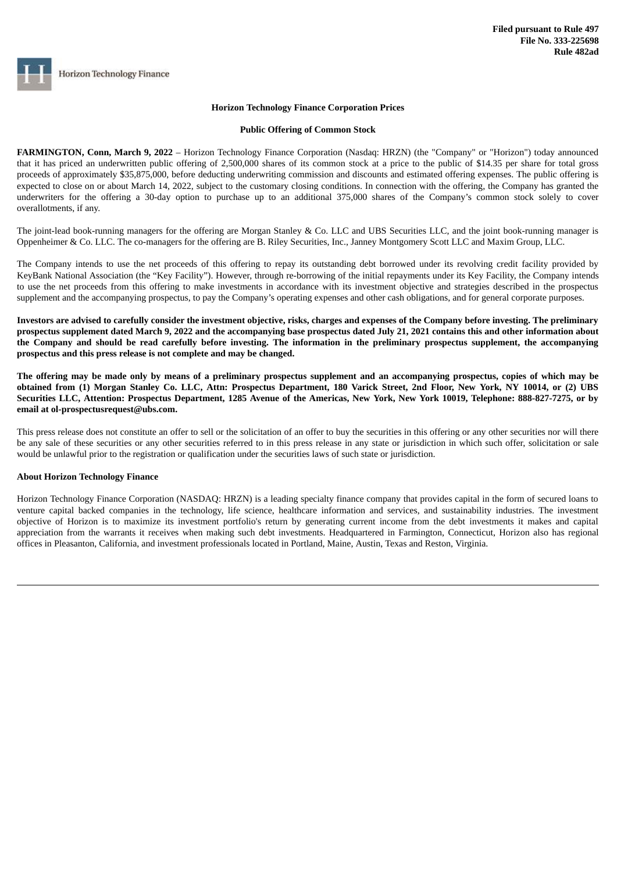**Horizon Technology Finance** 

## **Horizon Technology Finance Corporation Prices**

## **Public Offering of Common Stock**

**FARMINGTON, Conn, March 9, 2022** – Horizon Technology Finance Corporation (Nasdaq: HRZN) (the "Company" or "Horizon") today announced that it has priced an underwritten public offering of 2,500,000 shares of its common stock at a price to the public of \$14.35 per share for total gross proceeds of approximately \$35,875,000, before deducting underwriting commission and discounts and estimated offering expenses. The public offering is expected to close on or about March 14, 2022, subject to the customary closing conditions. In connection with the offering, the Company has granted the underwriters for the offering a 30-day option to purchase up to an additional 375,000 shares of the Company's common stock solely to cover overallotments, if any.

The joint-lead book-running managers for the offering are Morgan Stanley & Co. LLC and UBS Securities LLC, and the joint book-running manager is Oppenheimer & Co. LLC. The co-managers for the offering are B. Riley Securities, Inc., Janney Montgomery Scott LLC and Maxim Group, LLC.

The Company intends to use the net proceeds of this offering to repay its outstanding debt borrowed under its revolving credit facility provided by KeyBank National Association (the "Key Facility"). However, through re-borrowing of the initial repayments under its Key Facility, the Company intends to use the net proceeds from this offering to make investments in accordance with its investment objective and strategies described in the prospectus supplement and the accompanying prospectus, to pay the Company's operating expenses and other cash obligations, and for general corporate purposes.

Investors are advised to carefully consider the investment objective, risks, charges and expenses of the Company before investing. The preliminary prospectus supplement dated March 9, 2022 and the accompanying base prospectus dated July 21, 2021 contains this and other information about the Company and should be read carefully before investing. The information in the preliminary prospectus supplement, the accompanying **prospectus and this press release is not complete and may be changed.**

The offering may be made only by means of a preliminary prospectus supplement and an accompanying prospectus, copies of which may be obtained from (1) Morgan Stanley Co. LLC, Attn: Prospectus Department, 180 Varick Street, 2nd Floor, New York, NY 10014, or (2) UBS Securities LLC, Attention: Prospectus Department, 1285 Avenue of the Americas, New York, New York 10019, Telephone: 888-827-7275, or by **email at ol-prospectusrequest@ubs.com.**

This press release does not constitute an offer to sell or the solicitation of an offer to buy the securities in this offering or any other securities nor will there be any sale of these securities or any other securities referred to in this press release in any state or jurisdiction in which such offer, solicitation or sale would be unlawful prior to the registration or qualification under the securities laws of such state or jurisdiction.

## **About Horizon Technology Finance**

Horizon Technology Finance Corporation (NASDAQ: HRZN) is a leading specialty finance company that provides capital in the form of secured loans to venture capital backed companies in the technology, life science, healthcare information and services, and sustainability industries. The investment objective of Horizon is to maximize its investment portfolio's return by generating current income from the debt investments it makes and capital appreciation from the warrants it receives when making such debt investments. Headquartered in Farmington, Connecticut, Horizon also has regional offices in Pleasanton, California, and investment professionals located in Portland, Maine, Austin, Texas and Reston, Virginia.